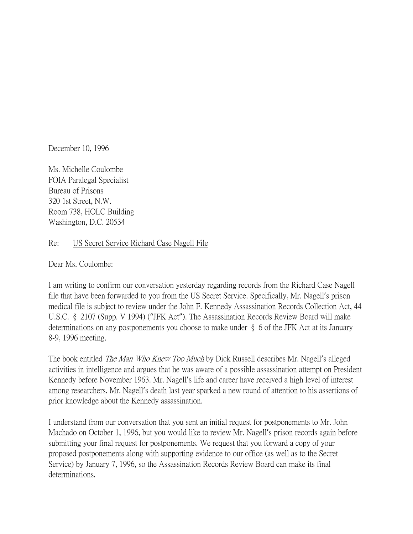December 10, 1996

Ms. Michelle Coulombe FOIA Paralegal Specialist Bureau of Prisons 320 1st Street, N.W. Room 738, HOLC Building Washington, D.C. 20534

## Re: US Secret Service Richard Case Nagell File

Dear Ms. Coulombe:

I am writing to confirm our conversation yesterday regarding records from the Richard Case Nagell file that have been forwarded to you from the US Secret Service. Specifically, Mr. Nagell's prison medical file is subject to review under the John F. Kennedy Assassination Records Collection Act, 44 U.S.C. § 2107 (Supp. V 1994) ("JFK Act"). The Assassination Records Review Board will make determinations on any postponements you choose to make under § 6 of the JFK Act at its January 8-9, 1996 meeting.

The book entitled The Man Who Knew Too Much by Dick Russell describes Mr. Nagell's alleged activities in intelligence and argues that he was aware of a possible assassination attempt on President Kennedy before November 1963. Mr. Nagell's life and career have received a high level of interest among researchers. Mr. Nagell's death last year sparked a new round of attention to his assertions of prior knowledge about the Kennedy assassination.

I understand from our conversation that you sent an initial request for postponements to Mr. John Machado on October 1, 1996, but you would like to review Mr. Nagell's prison records again before submitting your final request for postponements. We request that you forward a copy of your proposed postponements along with supporting evidence to our office (as well as to the Secret Service) by January 7, 1996, so the Assassination Records Review Board can make its final determinations.